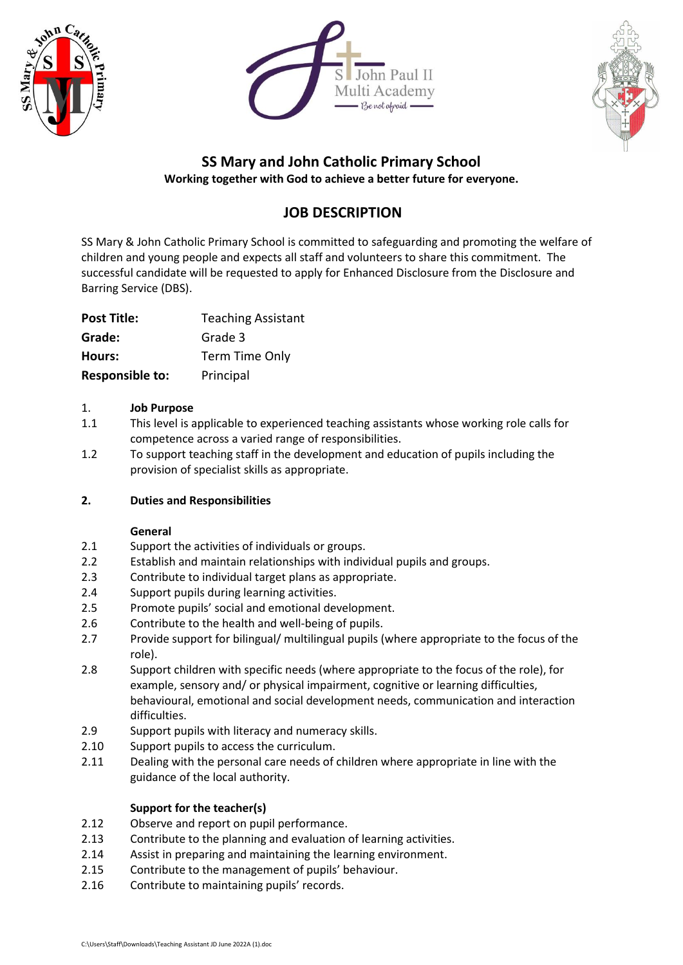





# **SS Mary and John Catholic Primary School**

**Working together with God to achieve a better future for everyone.**

# **JOB DESCRIPTION**

SS Mary & John Catholic Primary School is committed to safeguarding and promoting the welfare of children and young people and expects all staff and volunteers to share this commitment. The successful candidate will be requested to apply for Enhanced Disclosure from the Disclosure and Barring Service (DBS).

| <b>Post Title:</b>     | <b>Teaching Assistant</b> |
|------------------------|---------------------------|
| Grade:                 | Grade 3                   |
| Hours:                 | Term Time Only            |
| <b>Responsible to:</b> | Principal                 |

### 1. **Job Purpose**

- 1.1 This level is applicable to experienced teaching assistants whose working role calls for competence across a varied range of responsibilities.
- 1.2 To support teaching staff in the development and education of pupils including the provision of specialist skills as appropriate.

## **2. Duties and Responsibilities**

#### **General**

- 2.1 Support the activities of individuals or groups.
- 2.2 Establish and maintain relationships with individual pupils and groups.
- 2.3 Contribute to individual target plans as appropriate.
- 2.4 Support pupils during learning activities.
- 2.5 Promote pupils' social and emotional development.
- 2.6 Contribute to the health and well-being of pupils.
- 2.7 Provide support for bilingual/ multilingual pupils (where appropriate to the focus of the role).
- 2.8 Support children with specific needs (where appropriate to the focus of the role), for example, sensory and/ or physical impairment, cognitive or learning difficulties, behavioural, emotional and social development needs, communication and interaction difficulties.
- 2.9 Support pupils with literacy and numeracy skills.
- 2.10 Support pupils to access the curriculum.
- 2.11 Dealing with the personal care needs of children where appropriate in line with the guidance of the local authority.

#### **Support for the teacher(s)**

- 2.12 Observe and report on pupil performance.
- 2.13 Contribute to the planning and evaluation of learning activities.
- 2.14 Assist in preparing and maintaining the learning environment.
- 2.15 Contribute to the management of pupils' behaviour.
- 2.16 Contribute to maintaining pupils' records.